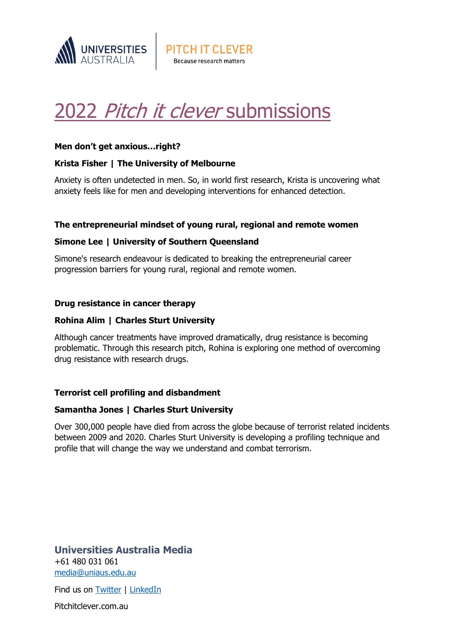

# 2022 Pitch it clever [submissions](http://www.pitchitclever.com.au/)

**PITCH IT CLEVER** Because research matters

## **Men don't get anxious…right?**

## **Krista Fisher | The University of Melbourne**

Anxiety is often undetected in men. So, in world first research, Krista is uncovering what anxiety feels like for men and developing interventions for enhanced detection.

## **The entrepreneurial mindset of young rural, regional and remote women**

## **Simone Lee | University of Southern Queensland**

Simone's research endeavour is dedicated to breaking the entrepreneurial career progression barriers for young rural, regional and remote women.

## **Drug resistance in cancer therapy**

## **Rohina Alim | Charles Sturt University**

Although cancer treatments have improved dramatically, drug resistance is becoming problematic. Through this research pitch, Rohina is exploring one method of overcoming drug resistance with research drugs.

## **Terrorist cell profiling and disbandment**

## **Samantha Jones | Charles Sturt University**

Over 300,000 people have died from across the globe because of terrorist related incidents between 2009 and 2020. Charles Sturt University is developing a profiling technique and profile that will change the way we understand and combat terrorism.

## **Universities Australia Media** +61 480 031 061 [media@uniaus.edu.au](mailto:media@uniaus.edu.au)

Find us on **Twitter** | [LinkedIn](https://www.linkedin.com/company/1455411/admin/)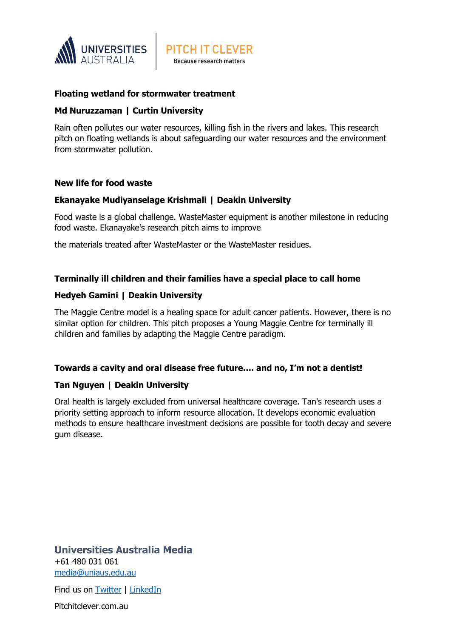

## **Floating wetland for stormwater treatment**

#### **Md Nuruzzaman | Curtin University**

Rain often pollutes our water resources, killing fish in the rivers and lakes. This research pitch on floating wetlands is about safeguarding our water resources and the environment from stormwater pollution.

**PITCH IT CLEVER** Because research matters

#### **New life for food waste**

#### **Ekanayake Mudiyanselage Krishmali | Deakin University**

Food waste is a global challenge. WasteMaster equipment is another milestone in reducing food waste. Ekanayake's research pitch aims to improve

the materials treated after WasteMaster or the WasteMaster residues.

## **Terminally ill children and their families have a special place to call home**

## **Hedyeh Gamini | Deakin University**

The Maggie Centre model is a healing space for adult cancer patients. However, there is no similar option for children. This pitch proposes a Young Maggie Centre for terminally ill children and families by adapting the Maggie Centre paradigm.

## **Towards a cavity and oral disease free future…. and no, I'm not a dentist!**

## **Tan Nguyen | Deakin University**

Oral health is largely excluded from universal healthcare coverage. Tan's research uses a priority setting approach to inform resource allocation. It develops economic evaluation methods to ensure healthcare investment decisions are possible for tooth decay and severe gum disease.

**Universities Australia Media** +61 480 031 061 [media@uniaus.edu.au](mailto:media@uniaus.edu.au)

Find us on **Twitter** | [LinkedIn](https://www.linkedin.com/company/1455411/admin/)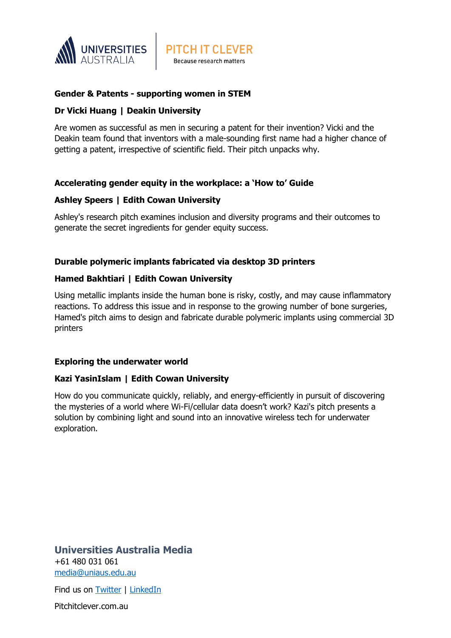

## **Gender & Patents - supporting women in STEM**

## **Dr Vicki Huang | Deakin University**

Are women as successful as men in securing a patent for their invention? Vicki and the Deakin team found that inventors with a male-sounding first name had a higher chance of getting a patent, irrespective of scientific field. Their pitch unpacks why.

**PITCH IT CLEVER** Because research matters

## **Accelerating gender equity in the workplace: a 'How to' Guide**

## **Ashley Speers | Edith Cowan University**

Ashley's research pitch examines inclusion and diversity programs and their outcomes to generate the secret ingredients for gender equity success.

## **Durable polymeric implants fabricated via desktop 3D printers**

## **Hamed Bakhtiari | Edith Cowan University**

Using metallic implants inside the human bone is risky, costly, and may cause inflammatory reactions. To address this issue and in response to the growing number of bone surgeries, Hamed's pitch aims to design and fabricate durable polymeric implants using commercial 3D printers

## **Exploring the underwater world**

## **Kazi YasinIslam | Edith Cowan University**

How do you communicate quickly, reliably, and energy-efficiently in pursuit of discovering the mysteries of a world where Wi-Fi/cellular data doesn't work? Kazi's pitch presents a solution by combining light and sound into an innovative wireless tech for underwater exploration.

**Universities Australia Media** +61 480 031 061 [media@uniaus.edu.au](mailto:media@uniaus.edu.au)

Find us on **Twitter** | [LinkedIn](https://www.linkedin.com/company/1455411/admin/)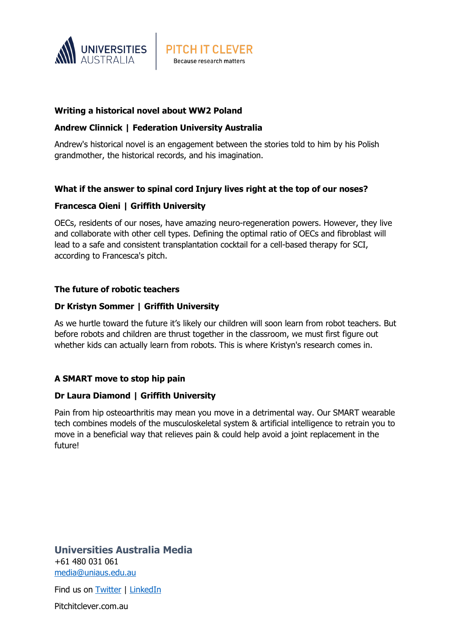

## **Writing a historical novel about WW2 Poland**

## **Andrew Clinnick | Federation University Australia**

Andrew's historical novel is an engagement between the stories told to him by his Polish grandmother, the historical records, and his imagination.

**PITCH IT CLEVER** Because research matters

## **What if the answer to spinal cord Injury lives right at the top of our noses?**

#### **Francesca Oieni | Griffith University**

OECs, residents of our noses, have amazing neuro-regeneration powers. However, they live and collaborate with other cell types. Defining the optimal ratio of OECs and fibroblast will lead to a safe and consistent transplantation cocktail for a cell-based therapy for SCI, according to Francesca's pitch.

#### **The future of robotic teachers**

#### **Dr Kristyn Sommer | Griffith University**

As we hurtle toward the future it's likely our children will soon learn from robot teachers. But before robots and children are thrust together in the classroom, we must first figure out whether kids can actually learn from robots. This is where Kristyn's research comes in.

## **A SMART move to stop hip pain**

#### **Dr Laura Diamond | Griffith University**

Pain from hip osteoarthritis may mean you move in a detrimental way. Our SMART wearable tech combines models of the musculoskeletal system & artificial intelligence to retrain you to move in a beneficial way that relieves pain & could help avoid a joint replacement in the future!

**Universities Australia Media** +61 480 031 061 [media@uniaus.edu.au](mailto:media@uniaus.edu.au)

Find us on **Twitter** | [LinkedIn](https://www.linkedin.com/company/1455411/admin/)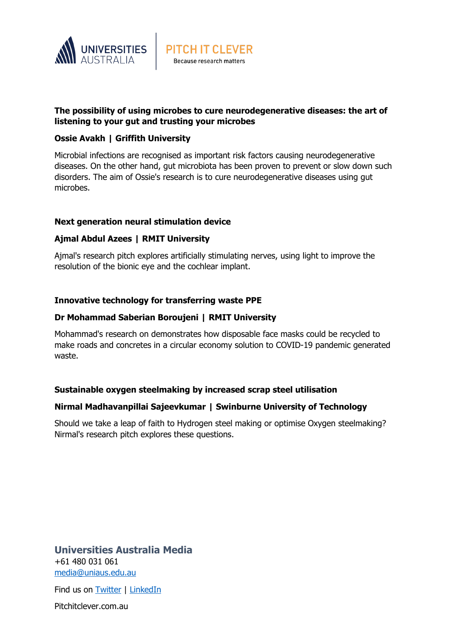

## **The possibility of using microbes to cure neurodegenerative diseases: the art of listening to your gut and trusting your microbes**

**PITCH IT CLEVER** Because research matters

## **Ossie Avakh | Griffith University**

Microbial infections are recognised as important risk factors causing neurodegenerative diseases. On the other hand, gut microbiota has been proven to prevent or slow down such disorders. The aim of Ossie's research is to cure neurodegenerative diseases using gut microbes.

## **Next generation neural stimulation device**

## **Ajmal Abdul Azees | RMIT University**

Ajmal's research pitch explores artificially stimulating nerves, using light to improve the resolution of the bionic eye and the cochlear implant.

## **Innovative technology for transferring waste PPE**

## **Dr Mohammad Saberian Boroujeni | RMIT University**

Mohammad's research on demonstrates how disposable face masks could be recycled to make roads and concretes in a circular economy solution to COVID-19 pandemic generated waste.

## **Sustainable oxygen steelmaking by increased scrap steel utilisation**

## **Nirmal Madhavanpillai Sajeevkumar | Swinburne University of Technology**

Should we take a leap of faith to Hydrogen steel making or optimise Oxygen steelmaking? Nirmal's research pitch explores these questions.

**Universities Australia Media** +61 480 031 061 [media@uniaus.edu.au](mailto:media@uniaus.edu.au)

Find us on **Twitter** | [LinkedIn](https://www.linkedin.com/company/1455411/admin/)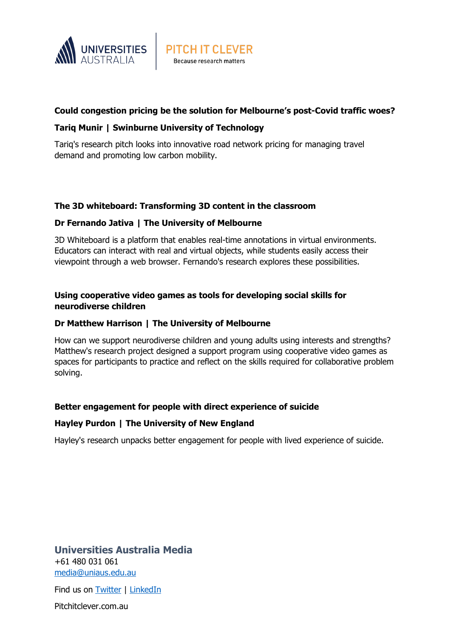

## **Could congestion pricing be the solution for Melbourne's post-Covid traffic woes?**

## **Tariq Munir | Swinburne University of Technology**

Tariq's research pitch looks into innovative road network pricing for managing travel demand and promoting low carbon mobility.

**PITCH IT CLEVER** Because research matters

## **The 3D whiteboard: Transforming 3D content in the classroom**

#### **Dr Fernando Jativa | The University of Melbourne**

3D Whiteboard is a platform that enables real-time annotations in virtual environments. Educators can interact with real and virtual objects, while students easily access their viewpoint through a web browser. Fernando's research explores these possibilities.

## **Using cooperative video games as tools for developing social skills for neurodiverse children**

#### **Dr Matthew Harrison | The University of Melbourne**

How can we support neurodiverse children and young adults using interests and strengths? Matthew's research project designed a support program using cooperative video games as spaces for participants to practice and reflect on the skills required for collaborative problem solving.

## **Better engagement for people with direct experience of suicide**

#### **Hayley Purdon | The University of New England**

Hayley's research unpacks better engagement for people with lived experience of suicide.

**Universities Australia Media** +61 480 031 061 [media@uniaus.edu.au](mailto:media@uniaus.edu.au)

Find us on **Twitter** | [LinkedIn](https://www.linkedin.com/company/1455411/admin/)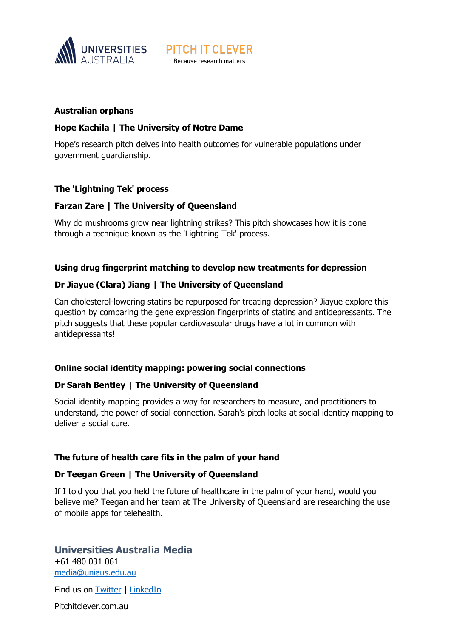

#### **Australian orphans**

#### **Hope Kachila | The University of Notre Dame**

Hope's research pitch delves into health outcomes for vulnerable populations under government guardianship.

**PITCH IT CLEVER** Because research matters

#### **The 'Lightning Tek' process**

#### **Farzan Zare | The University of Queensland**

Why do mushrooms grow near lightning strikes? This pitch showcases how it is done through a technique known as the 'Lightning Tek' process.

#### **Using drug fingerprint matching to develop new treatments for depression**

#### **Dr Jiayue (Clara) Jiang | The University of Queensland**

Can cholesterol-lowering statins be repurposed for treating depression? Jiayue explore this question by comparing the gene expression fingerprints of statins and antidepressants. The pitch suggests that these popular cardiovascular drugs have a lot in common with antidepressants!

#### **Online social identity mapping: powering social connections**

#### **Dr Sarah Bentley | The University of Queensland**

Social identity mapping provides a way for researchers to measure, and practitioners to understand, the power of social connection. Sarah's pitch looks at social identity mapping to deliver a social cure.

#### **The future of health care fits in the palm of your hand**

#### **Dr Teegan Green | The University of Queensland**

If I told you that you held the future of healthcare in the palm of your hand, would you believe me? Teegan and her team at The University of Queensland are researching the use of mobile apps for telehealth.

## **Universities Australia Media**

+61 480 031 061 [media@uniaus.edu.au](mailto:media@uniaus.edu.au)

Find us on **Twitter** | [LinkedIn](https://www.linkedin.com/company/1455411/admin/)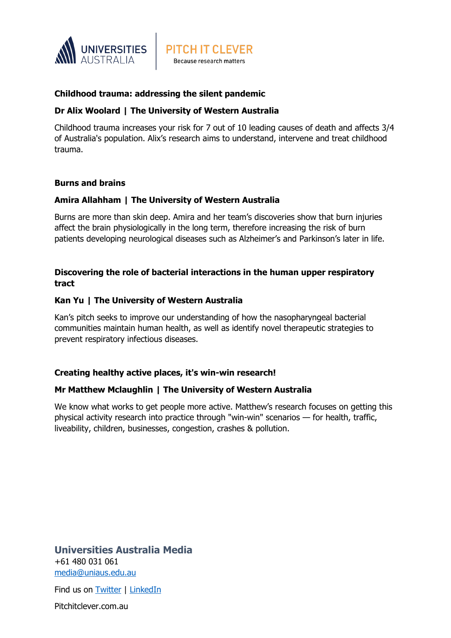

## **Childhood trauma: addressing the silent pandemic**

## **Dr Alix Woolard | The University of Western Australia**

Childhood trauma increases your risk for 7 out of 10 leading causes of death and affects 3/4 of Australia's population. Alix's research aims to understand, intervene and treat childhood trauma.

## **Burns and brains**

## **Amira Allahham | The University of Western Australia**

Burns are more than skin deep. Amira and her team's discoveries show that burn injuries affect the brain physiologically in the long term, therefore increasing the risk of burn patients developing neurological diseases such as Alzheimer's and Parkinson's later in life.

## **Discovering the role of bacterial interactions in the human upper respiratory tract**

## **Kan Yu | The University of Western Australia**

Kan's pitch seeks to improve our understanding of how the nasopharyngeal bacterial communities maintain human health, as well as identify novel therapeutic strategies to prevent respiratory infectious diseases.

## **Creating healthy active places, it's win-win research!**

## **Mr Matthew Mclaughlin | The University of Western Australia**

We know what works to get people more active. Matthew's research focuses on getting this physical activity research into practice through "win-win" scenarios — for health, traffic, liveability, children, businesses, congestion, crashes & pollution.

**Universities Australia Media** +61 480 031 061 [media@uniaus.edu.au](mailto:media@uniaus.edu.au)

Find us on **Twitter** | [LinkedIn](https://www.linkedin.com/company/1455411/admin/)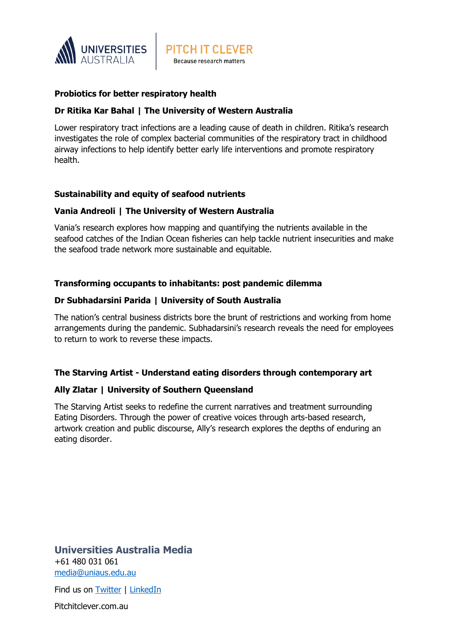

## **Probiotics for better respiratory health**

## **Dr Ritika Kar Bahal | The University of Western Australia**

Lower respiratory tract infections are a leading cause of death in children. Ritika's research investigates the role of complex bacterial communities of the respiratory tract in childhood airway infections to help identify better early life interventions and promote respiratory health.

**PITCH IT CLEVER** Because research matters

#### **Sustainability and equity of seafood nutrients**

#### **Vania Andreoli | The University of Western Australia**

Vania's research explores how mapping and quantifying the nutrients available in the seafood catches of the Indian Ocean fisheries can help tackle nutrient insecurities and make the seafood trade network more sustainable and equitable.

#### **Transforming occupants to inhabitants: post pandemic dilemma**

#### **Dr Subhadarsini Parida | University of South Australia**

The nation's central business districts bore the brunt of restrictions and working from home arrangements during the pandemic. Subhadarsini's research reveals the need for employees to return to work to reverse these impacts.

#### **The Starving Artist - Understand eating disorders through contemporary art**

#### **Ally Zlatar | University of Southern Queensland**

The Starving Artist seeks to redefine the current narratives and treatment surrounding Eating Disorders. Through the power of creative voices through arts-based research, artwork creation and public discourse, Ally's research explores the depths of enduring an eating disorder.

**Universities Australia Media** +61 480 031 061 [media@uniaus.edu.au](mailto:media@uniaus.edu.au)

Find us on **Twitter** | [LinkedIn](https://www.linkedin.com/company/1455411/admin/)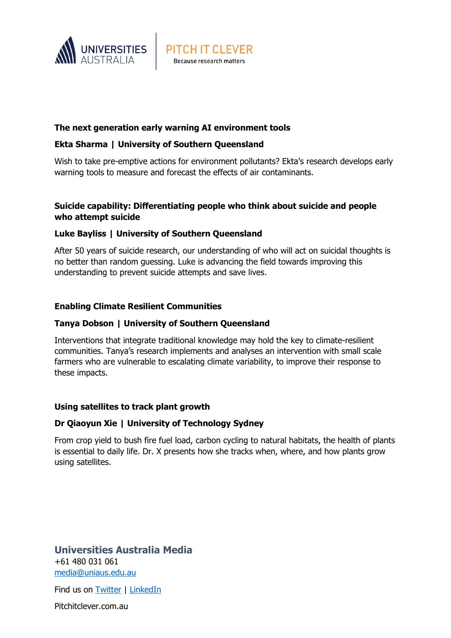

## **The next generation early warning AI environment tools**

## **Ekta Sharma | University of Southern Queensland**

Wish to take pre-emptive actions for environment pollutants? Ekta's research develops early warning tools to measure and forecast the effects of air contaminants.

**PITCH IT CLEVER** Because research matters

## **Suicide capability: Differentiating people who think about suicide and people who attempt suicide**

## **Luke Bayliss | University of Southern Queensland**

After 50 years of suicide research, our understanding of who will act on suicidal thoughts is no better than random guessing. Luke is advancing the field towards improving this understanding to prevent suicide attempts and save lives.

#### **Enabling Climate Resilient Communities**

#### **Tanya Dobson | University of Southern Queensland**

Interventions that integrate traditional knowledge may hold the key to climate-resilient communities. Tanya's research implements and analyses an intervention with small scale farmers who are vulnerable to escalating climate variability, to improve their response to these impacts.

#### **Using satellites to track plant growth**

#### **Dr Qiaoyun Xie | University of Technology Sydney**

From crop yield to bush fire fuel load, carbon cycling to natural habitats, the health of plants is essential to daily life. Dr. X presents how she tracks when, where, and how plants grow using satellites.

## **Universities Australia Media** +61 480 031 061 [media@uniaus.edu.au](mailto:media@uniaus.edu.au)

Find us on **Twitter** | [LinkedIn](https://www.linkedin.com/company/1455411/admin/)